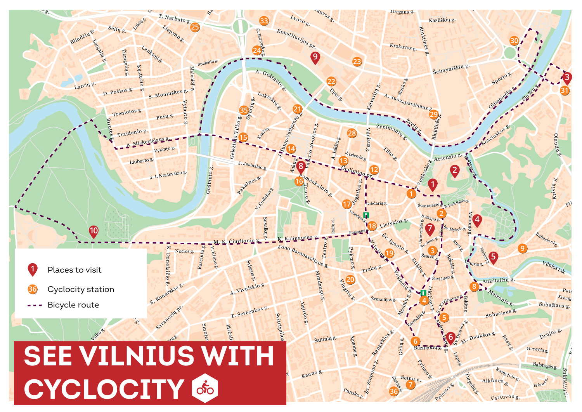#### ü ü ü ü ü üالله تاتا<sup>ت</sup> ü ü ü ü ü üü ü ü ü ü ü $\frac{1}{2}$  $\frac{1}{2}$  $\frac{1}{2}$  $\frac{1}{2}$  $\frac{1}{2}$  $\frac{1}{2}$  $\frac{1}{2}$ ü ü ü ü ü ü $\underline{\phantom{a}}$ ü ü ü ü ü ü ü $\mathbb{Z} \times \mathbb{Z}$  $\frac{1}{2}$  $\mathbb{Z}$ ü ü  $\mathbf{u}^{\mathrm{u}}$   $\mathbf{v}^{\mathrm{u}}$   $\mathbf{v}^{\mathrm{u}}$   $\mathbf{v}^{\mathrm{u}}$   $\mathbf{v}^{\mathrm{u}}$  $\overline{\mathbf{u}}$  $\sqrt{1 + \frac{1}{2}}$ ü ü ü ü ü ü üRasia ga Pelesos & Subačiaus g Drujos g. T. Narbuto g. Lvovo g. **Pylipo g.** Algirdo g. Švitrigailos <sup>L</sup>atvi<sup>ų</sup> g. Vytenio <sup>G</sup>edimin<sup>o</sup> <sup>p</sup>r. Rinktinės g. A. Goštauto g. Kęstučio g. Mindau go g. <sup>M</sup><sup>a</sup>ir<sup>o</sup>ni<sup>o</sup> <sup>g</sup>. Krivių g. S. Konarskio g. <sup>V</sup>ilnios <sup>t</sup>ak. ų g. <sup>A</sup>. Viv<sup>u</sup>lski<sup>o</sup> <sup>g</sup>. Olimpiečių s <sup>K</sup>onstit<sup>u</sup>cij<sup>o</sup><sup>s</sup> pr. Liubart<sup>o</sup> g. <sup>Š</sup>eimyniški<sup>ų</sup> <sup>g</sup>. <sup>T</sup>. Ševče<sup>n</sup>kos g. M. <sup>K</sup>. Čiurlionio g. roblų CYCLOCITY <sup>A</sup>ukštaiči<sup>ų</sup> <sup>g</sup>. <sup>S</sup>ėli<sup>ų</sup> g. Gynėjų g.  $S_{\alpha}$ Blindžių e. D. Poško<sup>s</sup> g. Treniotos g. 1. Kudizko <sup>T</sup>. <sup>K</sup>osciuško<sup>s</sup> g. S. Moniuškos Traidenio g. Slušku g. Aguonų g. Vykinto g. Smoler g. Žygimantų V ingrių g. **20** Pamėnkalnio<sub>s</sub>. Šv. Stepono g. US WI -iepyno atgalių g. Slucko g. Lukiskių <sub>se</sub> <sup>J</sup>. <sup>J</sup>asinski<sup>o</sup> g. Varšuv<sup>o</sup><sup>s</sup> g. <sup>A</sup>lkūnė<sup>s</sup> g. Sei<sup>n</sup><sup>ų</sup> g. Daukšos Ranguige g. **Australia** Vartų g. Lockieč ių g. Krokuvos g. Stikling g. Balstogė<sup>s</sup> <sup>g</sup>. Nočios g. Jakšto g. iejyklos Malonioji g. Link Link K. Kalinausko g. e. Sv. Ignoto g. A . Ju<sup>o</sup>z<sup>a</sup>pavičia<sup>u</sup><sup>s</sup> <sup>g</sup>. Upės g. BiržK. Donelai čio Raseinių g. Amatų g. J. <sup>I</sup>. Kraševskio g. <sup>c</sup>o Arsenalo Mėsinių g. <sup>G</sup>ervėči<sup>ų</sup> g. Turgelių g. Lokiu g. Bazilijonų Punsko g. P. Klimo g. Aukų g.  $Kr$ ivūl Suvalkų g. K. Škirpos al. Žiemgalių g. J. Tumo-Vaižeanto g. <sup>B</sup>altasi<sup>s</sup> <sup>s</sup>kg. Studentų g P ietario g. Rus<sub>ts</sub>  $\mathcal{\tilde{S}}_{V_{\cdot}}$ Mykolo g.  $\boldsymbol{\mathsf{\Omega}}$ Baravyko g. S. Skap<sup>o</sup> g. Šk. Drasios g. Švarc<sub>o g</sub>. Savičiaus g. Labdarių g Žemaitijo Leleveli <sup>I</sup>slandijos <sup>g</sup>. Krėvos<sup>66</sup> <sup>P</sup>alango<sup>s</sup> g. Karmelitų g. Rožių al. Žvejų <sub>g.</sub> Vytau $\overline{\circ}$ **g**d . Gėlių g. Vasario 16-osios g. Šviesos g. Kazliškių g. **Kuvos g.** Turgau<sup>s</sup> g. <sup>L</sup>enk<sup>t</sup>oji <sup>g</sup>. Birutės g. D  $\mathbf{p}$ Ņ ię. gJosailos g. <sup>U</sup>župi<sup>o</sup> <sup>g</sup>. Bokšto g. Ratainės & <sup>r</sup>but<sup>o</sup> g. Malūnų g. **Liniaus G.** Pušų g. Tauro<sup>8</sup> Šaltinių g. Stocker <sup>R</sup><sup>a</sup>myb <sup>ė</sup><sup>s</sup> g.  $554.3$ ono g. <sup>K</sup>aun<sup>o</sup> <sup>g</sup>. <sup>T</sup>rak<sup>ų</sup> <sup>g</sup>.  $\downarrow^\circ$ zemante.<br>Naugarduko g. Tilto g. Lande.  $\begin{picture}(400,40) \put(0,0){\line(1,0){100}} \put(1,0){\line(1,0){100}} \put(1,0){\line(1,0){100}} \put(1,0){\line(1,0){100}} \put(1,0){\line(1,0){100}} \put(1,0){\line(1,0){100}} \put(1,0){\line(1,0){100}} \put(1,0){\line(1,0){100}} \put(1,0){\line(1,0){100}} \put(1,0){\line(1,0){100}} \put(1,0){\line(1,0){100}} \put(1,0){\line($ Geležinio Vilko <sup>65</sup> Savanoriu pr. Geležinio Vilko g. Kalvarijų g. Rinktinės Ola nd ų g. Pylimo g. Bokšto g. Šventaragio Subačiaus g T. Vrublevskiege. Maironio g. Vilniaus g. Goštauto g. Siemiero g. Radvilaitės g. E<sub>5</sub> Pilie<sub>s</sub> Jono Basanavičiaus g. **2 4 5 7 9 10 6 36 7 5 4 17 18 16 14 15 35 25 24 33 23 28 13 12 2 3 9 22 21 29 30 19 1 8 8 6 36** Cyclocity station Bicycle route **<sup>1</sup>** Places to visit **See VilniuS with**

 $\sigma$ ukilėlių g

Pa<sup>u</sup><sup>p</sup>

Fil<sup>a</sup>

**3**

**31**

 $\frac{1}{2}$